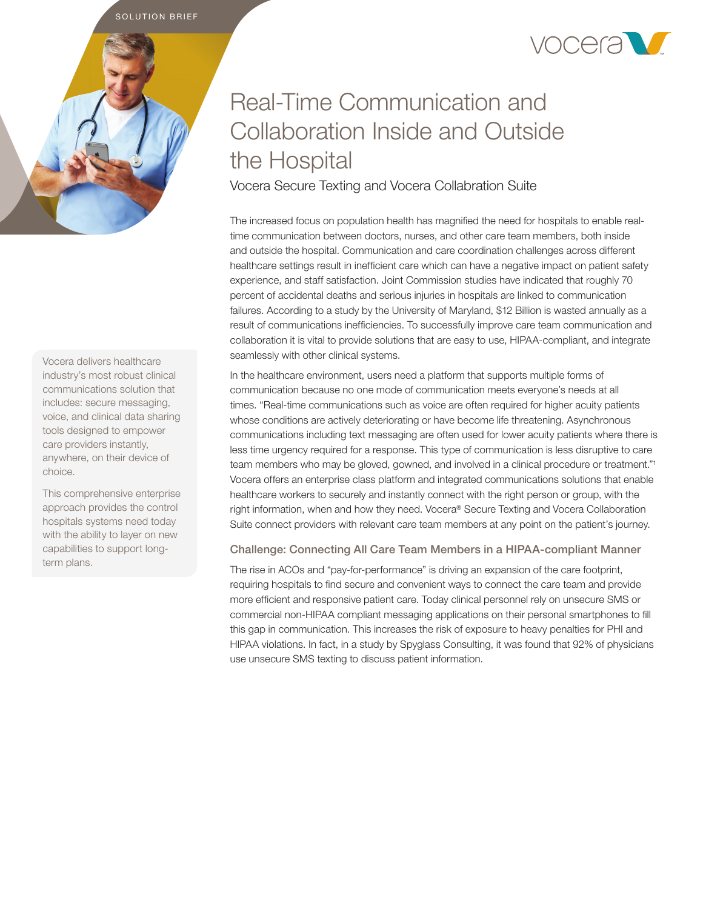SOLUTION BRIEF



# Real-Time Communication and Collaboration Inside and Outside the Hospital

Vocera Secure Texting and Vocera Collabration Suite

The increased focus on population health has magnified the need for hospitals to enable realtime communication between doctors, nurses, and other care team members, both inside and outside the hospital. Communication and care coordination challenges across different healthcare settings result in inefficient care which can have a negative impact on patient safety experience, and staff satisfaction. Joint Commission studies have indicated that roughly 70 percent of accidental deaths and serious injuries in hospitals are linked to communication failures. According to a study by the University of Maryland, \$12 Billion is wasted annually as a result of communications inefficiencies. To successfully improve care team communication and collaboration it is vital to provide solutions that are easy to use, HIPAA-compliant, and integrate seamlessly with other clinical systems.

In the healthcare environment, users need a platform that supports multiple forms of communication because no one mode of communication meets everyone's needs at all times. "Real-time communications such as voice are often required for higher acuity patients whose conditions are actively deteriorating or have become life threatening. Asynchronous communications including text messaging are often used for lower acuity patients where there is less time urgency required for a response. This type of communication is less disruptive to care team members who may be gloved, gowned, and involved in a clinical procedure or treatment."<sup>1</sup> Vocera offers an enterprise class platform and integrated communications solutions that enable healthcare workers to securely and instantly connect with the right person or group, with the right information, when and how they need. Vocera® Secure Texting and Vocera Collaboration Suite connect providers with relevant care team members at any point on the patient's journey.

## Challenge: Connecting All Care Team Members in a HIPAA-compliant Manner

The rise in ACOs and "pay-for-performance" is driving an expansion of the care footprint, requiring hospitals to find secure and convenient ways to connect the care team and provide more efficient and responsive patient care. Today clinical personnel rely on unsecure SMS or commercial non-HIPAA compliant messaging applications on their personal smartphones to fill this gap in communication. This increases the risk of exposure to heavy penalties for PHI and HIPAA violations. In fact, in a study by Spyglass Consulting, it was found that 92% of physicians use unsecure SMS texting to discuss patient information.

Vocera delivers healthcare industry's most robust clinical communications solution that includes: secure messaging, voice, and clinical data sharing tools designed to empower care providers instantly, anywhere, on their device of choice.

This comprehensive enterprise approach provides the control hospitals systems need today with the ability to layer on new capabilities to support longterm plans.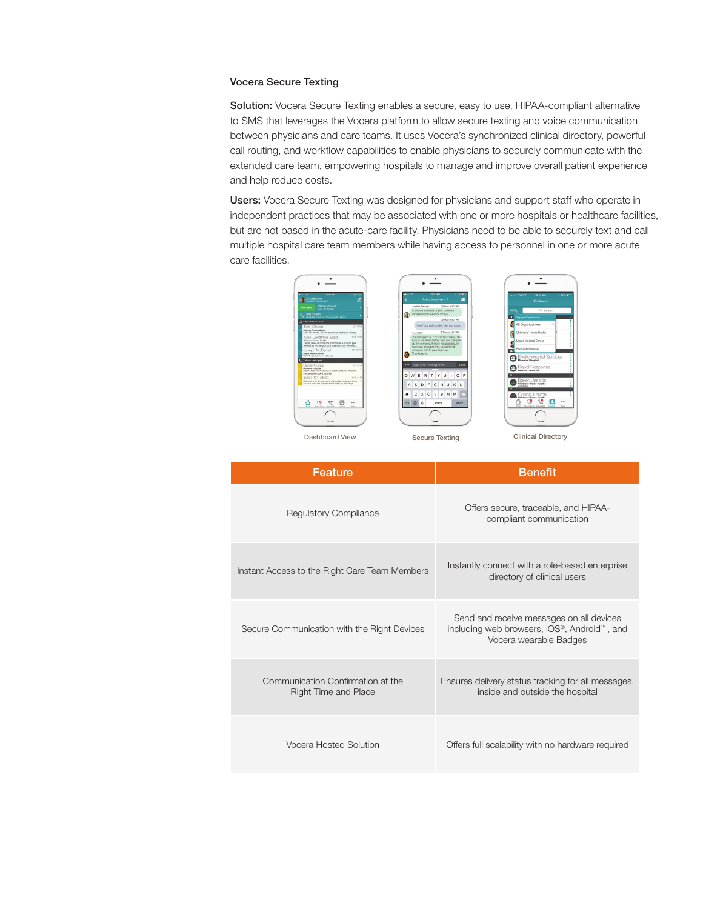## Vocera Secure Texting

Solution: Vocera Secure Texting enables a secure, easy to use, HIPAA-compliant alternative to SMS that leverages the Vocera platform to allow secure texting and voice communication between physicians and care teams. It uses Vocera's synchronized clinical directory, powerful call routing, and workflow capabilities to enable physicians to securely communicate with the extended care team, empowering hospitals to manage and improve overall patient experience and help reduce costs.

Users: Vocera Secure Texting was designed for physicians and support staff who operate in independent practices that may be associated with one or more hospitals or healthcare facilities, but are not based in the acute-care facility. Physicians need to be able to securely text and call multiple hospital care team members while having access to personnel in one or more acute care facilities.

| 10.51 AM<br>$22.5 - 1.$<br>$\cdots$<br><b>Community</b> Mika Brown<br>V<br>STATUS MEGGAGE<br><b>AVERLANLE</b><br>Call Eurorot                                                                                                            | 10:51 AM<br><b>L22% K</b><br>asset 17<br>业<br>Aven, Jonathon - 1<br>Jacoboo Eterbara<br>O Trying at 0:37 AM<br>Is anyone available to pick up blood<br>samples from Riverside today?                                                | <b>HOLD VOIA P</b><br>10:51 AM<br>2.00% ET<br>Contacts<br>Q. Search<br>ଲ.                         |
|------------------------------------------------------------------------------------------------------------------------------------------------------------------------------------------------------------------------------------------|-------------------------------------------------------------------------------------------------------------------------------------------------------------------------------------------------------------------------------------|---------------------------------------------------------------------------------------------------|
| Calls Rocked to<br>Mobile Phone - (455) 555-1234<br>C 3 Now Secure Texts<br>$2:11$ PM<br>Ting, Steven<br>Multiple Organizations<br>Left a VM for you. Call me back when you have a chance.                                               | G)<br>@ loday at 9:37 AM<br>I won't be able to pick them up today.<br>O Today at 12:57 PM<br>August Corporate                                                                                                                       | œ<br>Disclayed Organizations<br>All Organizations<br>Childrens' Home Health                       |
| 12:57 PM<br>Averi, Jonathon, Brad<br>Childrens' Home Health<br>The lab opens at 7:30 in the moming. Be sure to get here<br>before 8 so you can pick up the samples from Riverside<br>Insenh McDaniel<br>12:15 PM<br>Mania Markesi Cantar | The lab coans at 7:30 in the morning. Be<br>sure to get there before 8 so you can pick<br>up the samples. If that's not possible, let<br>me know ahead of time so I can find<br>someone else to pick them up.<br>Thanks guys.<br>G. | Maple Medical Center<br>Riverside Hospital                                                        |
| Don't forget that we need to talk.<br>2 2 Voice Messages<br>Daniel Cross<br>2:51 PM<br>Riverside Hospital<br>Call me back when you can. I need to get some more info<br>from you about some patients.                                    | *** Type your message here<br>Send<br>OP<br>W<br>H.                                                                                                                                                                                 | <b>Co</b> Environmental Services<br>Rapid Response                                                |
| 11:01 AM<br>(555) 231-5583<br>Helio this is Dr. Zimmentan's office calling to let you know<br>we have some lab samples that need to be picked up.                                                                                        | E<br>RTYU<br>O<br>G<br>I F<br><b>H</b><br>s<br>D<br>J K L<br>A<br>$\mathsf{C}$<br>B.<br>z<br>$\times$<br>$\vee$<br>N M<br>۰                                                                                                         | Baker, Jessica<br>Childrens' Home Health<br>dreakinbon.<br>Collins, Lauren                        |
| ල<br>ৼ৽<br>O<br>188<br><b>Tring Colle</b><br>Arrest Made<br><b>Talent</b><br><b>ALC:</b>                                                                                                                                                 | $\ddot{\text{o}}$<br>123<br>space<br>peturn.                                                                                                                                                                                        | <b>Childrens' Moore Model</b><br>e O<br><br>∽<br>Source Toda Miller Calls Contacts<br><b>Mage</b> |
| Dashboard View                                                                                                                                                                                                                           | <b>Secure Texting</b>                                                                                                                                                                                                               | <b>Clinical Directory</b>                                                                         |

| Feature                                                          | <b>Benefit</b>                                                                                                    |  |
|------------------------------------------------------------------|-------------------------------------------------------------------------------------------------------------------|--|
| <b>Regulatory Compliance</b>                                     | Offers secure, traceable, and HIPAA-<br>compliant communication                                                   |  |
| Instant Access to the Right Care Team Members                    | Instantly connect with a role-based enterprise<br>directory of clinical users                                     |  |
| Secure Communication with the Right Devices                      | Send and receive messages on all devices<br>including web browsers, iOS®, Android™, and<br>Vocera wearable Badges |  |
| Communication Confirmation at the<br><b>Right Time and Place</b> | Ensures delivery status tracking for all messages,<br>inside and outside the hospital                             |  |
| <b>Vocera Hosted Solution</b>                                    | Offers full scalability with no hardware required                                                                 |  |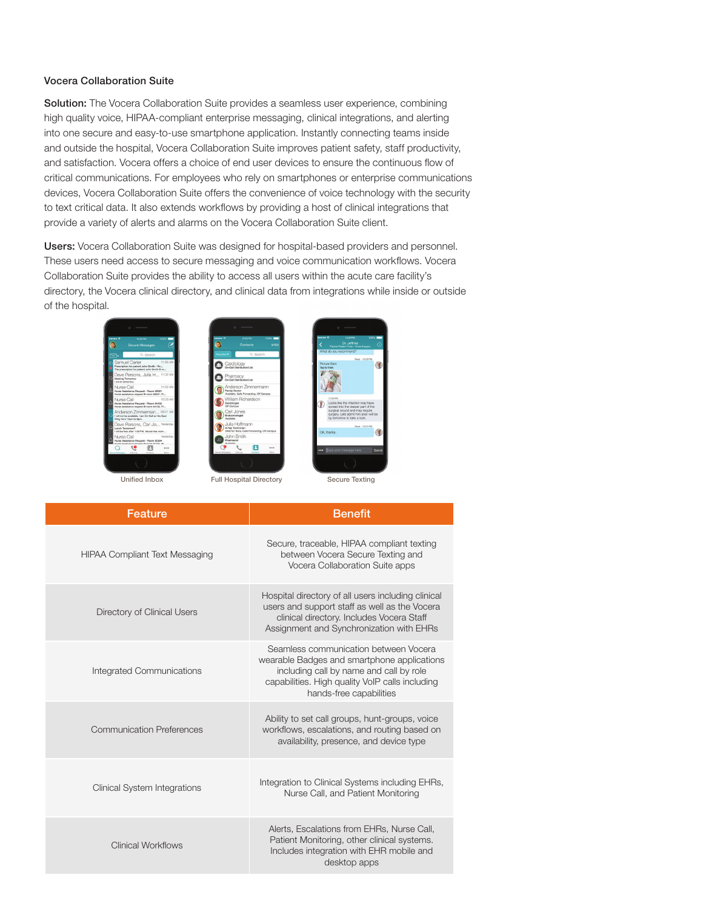### Vocera Collaboration Suite

Solution: The Vocera Collaboration Suite provides a seamless user experience, combining high quality voice, HIPAA-compliant enterprise messaging, clinical integrations, and alerting into one secure and easy-to-use smartphone application. Instantly connecting teams inside and outside the hospital, Vocera Collaboration Suite improves patient safety, staff productivity, and satisfaction. Vocera offers a choice of end user devices to ensure the continuous flow of critical communications. For employees who rely on smartphones or enterprise communications devices, Vocera Collaboration Suite offers the convenience of voice technology with the security to text critical data. It also extends workflows by providing a host of clinical integrations that provide a variety of alerts and alarms on the Vocera Collaboration Suite client.

Users: Vocera Collaboration Suite was designed for hospital-based providers and personnel. These users need access to secure messaging and voice communication workflows. Vocera Collaboration Suite provides the ability to access all users within the acute care facility's directory, the Vocera clinical directory, and clinical data from integrations while inside or outside of the hospital.





Ω



| Feature                               | <b>Benefit</b>                                                                                                                                                                                                |
|---------------------------------------|---------------------------------------------------------------------------------------------------------------------------------------------------------------------------------------------------------------|
| <b>HIPAA Compliant Text Messaging</b> | Secure, traceable, HIPAA compliant texting<br>between Vocera Secure Texting and<br>Vocera Collaboration Suite apps                                                                                            |
| Directory of Clinical Users           | Hospital directory of all users including clinical<br>users and support staff as well as the Vocera<br>clinical directory. Includes Vocera Staff<br>Assignment and Synchronization with EHRs                  |
| Integrated Communications             | Seamless communication between Vocera<br>wearable Badges and smartphone applications<br>including call by name and call by role<br>capabilities. High quality VoIP calls including<br>hands-free capabilities |
| <b>Communication Preferences</b>      | Ability to set call groups, hunt-groups, voice<br>workflows, escalations, and routing based on<br>availability, presence, and device type                                                                     |
| <b>Clinical System Integrations</b>   | Integration to Clinical Systems including EHRs,<br>Nurse Call, and Patient Monitoring                                                                                                                         |
| <b>Clinical Workflows</b>             | Alerts, Escalations from EHRs, Nurse Call,<br>Patient Monitoring, other clinical systems.<br>Includes integration with EHR mobile and<br>desktop apps                                                         |
|                                       |                                                                                                                                                                                                               |